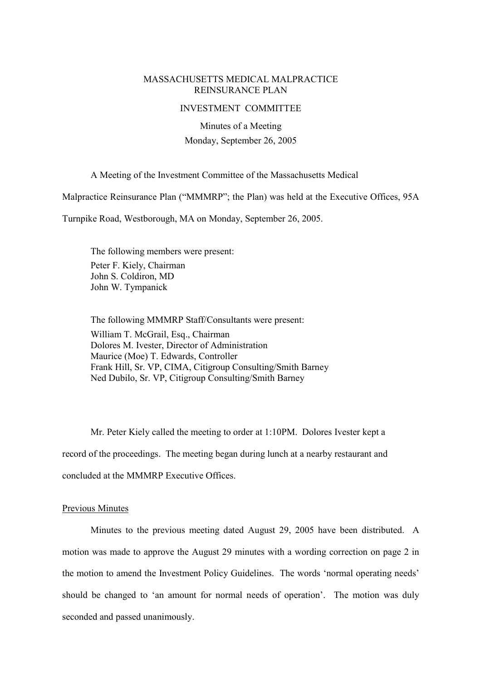## MASSACHUSETTS MEDICAL MALPRACTICE REINSURANCE PLAN

#### INVESTMENT COMMITTEE

Minutes of a Meeting Monday, September 26, 2005

A Meeting of the Investment Committee of the Massachusetts Medical

Malpractice Reinsurance Plan ("MMMRP"; the Plan) was held at the Executive Offices, 95A

Turnpike Road, Westborough, MA on Monday, September 26, 2005.

The following members were present: Peter F. Kiely, Chairman John S. Coldiron, MD John W. Tympanick

The following MMMRP Staff/Consultants were present: William T. McGrail, Esq., Chairman Dolores M. Ivester, Director of Administration Maurice (Moe) T. Edwards, Controller Frank Hill, Sr. VP, CIMA, Citigroup Consulting/Smith Barney Ned Dubilo, Sr. VP, Citigroup Consulting/Smith Barney

Mr. Peter Kiely called the meeting to order at 1:10PM. Dolores Ivester kept a record of the proceedings. The meeting began during lunch at a nearby restaurant and concluded at the MMMRP Executive Offices.

#### Previous Minutes

Minutes to the previous meeting dated August 29, 2005 have been distributed. A motion was made to approve the August 29 minutes with a wording correction on page 2 in the motion to amend the Investment Policy Guidelines. The words 'normal operating needs' should be changed to 'an amount for normal needs of operation'. The motion was duly seconded and passed unanimously.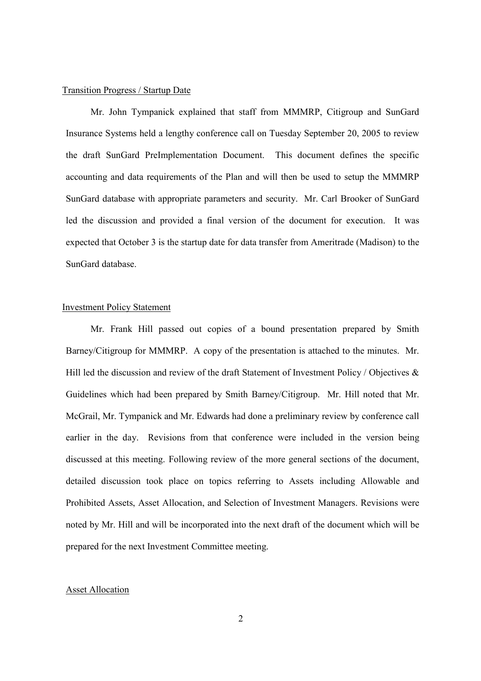#### Transition Progress / Startup Date

Mr. John Tympanick explained that staff from MMMRP, Citigroup and SunGard Insurance Systems held a lengthy conference call on Tuesday September 20, 2005 to review the draft SunGard PreImplementation Document. This document defines the specific accounting and data requirements of the Plan and will then be used to setup the MMMRP SunGard database with appropriate parameters and security. Mr. Carl Brooker of SunGard led the discussion and provided a final version of the document for execution. It was expected that October 3 is the startup date for data transfer from Ameritrade (Madison) to the SunGard database.

## Investment Policy Statement

Mr. Frank Hill passed out copies of a bound presentation prepared by Smith Barney/Citigroup for MMMRP. A copy of the presentation is attached to the minutes. Mr. Hill led the discussion and review of the draft Statement of Investment Policy / Objectives  $\&$ Guidelines which had been prepared by Smith Barney/Citigroup. Mr. Hill noted that Mr. McGrail, Mr. Tympanick and Mr. Edwards had done a preliminary review by conference call earlier in the day. Revisions from that conference were included in the version being discussed at this meeting. Following review of the more general sections of the document, detailed discussion took place on topics referring to Assets including Allowable and Prohibited Assets, Asset Allocation, and Selection of Investment Managers. Revisions were noted by Mr. Hill and will be incorporated into the next draft of the document which will be prepared for the next Investment Committee meeting.

# Asset Allocation